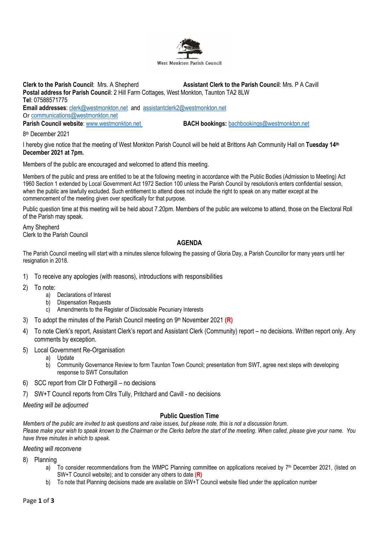

**Clerk to the Parish Council**: Mrs. A Shepherd **Assistant Clerk to the Parish Council**: Mrs. P A Cavill **Postal address for Parish Council**: 2 Hill Farm Cottages, West Monkton, Taunton TA2 8LW **Tel**: 07588571775 **Email addresses**: [clerk@westmonkton.net](mailto:clerk@westmonkton.net) and [assistantclerk2@westmonkton.net](mailto:assistantclerk2@westmonkton.net) Or [communications@westmonkton.net](mailto:communications@westmonkton.net) **Parish Council website**: [www.westmonkton.net](http://www.westmonkton.net/) **BACH bookings:** [bachbookings@westmonkton.net](mailto:bachbookings@westmonkton.net)

8 th December 2021

I hereby give notice that the meeting of West Monkton Parish Council will be held at Brittons Ash Community Hall on **Tuesday 14th December 2021 at 7pm.**

Members of the public are encouraged and welcomed to attend this meeting.

Members of the public and press are entitled to be at the following meeting in accordance with the Public Bodies (Admission to Meeting) Act 1960 Section 1 extended by Local Government Act 1972 Section 100 unless the Parish Council by resolution/s enters confidential session, when the public are lawfully excluded. Such entitlement to attend does not include the right to speak on any matter except at the commencement of the meeting given over specifically for that purpose.

Public question time at this meeting will be held about 7.20pm. Members of the public are welcome to attend, those on the Electoral Roll of the Parish may speak.

Amy Shepherd Clerk to the Parish Council

## **AGENDA**

The Parish Council meeting will start with a minutes silence following the passing of Gloria Day, a Parish Councillor for many years until her resignation in 2018.

- 1) To receive any apologies (with reasons), introductions with responsibilities
- 2) To note:
	- a) Declarations of Interest
	- b) Dispensation Requests
	- c) Amendments to the Register of Disclosable Pecuniary Interests
- 3) To adopt the minutes of the Parish Council meeting on 9 th November 2021 **(R)**
- 4) To note Clerk's report, Assistant Clerk's report and Assistant Clerk (Community) report no decisions. Written report only. Any comments by exception.
- 5) Local Government Re-Organisation
	- a) Update
	- b) Community Governance Review to form Taunton Town Council; presentation from SWT, agree next steps with developing response to SWT Consultation
- 6) SCC report from Cllr D Fothergill no decisions
- 7) SW+T Council reports from Cllrs Tully, Pritchard and Cavill no decisions

*Meeting will be adjourned*

## **Public Question Time**

*Members of the public are invited to ask questions and raise issues, but please note, this is not a discussion forum. Please make your wish to speak known to the Chairman or the Clerks before the start of the meeting. When called, please give your name. You have three minutes in which to speak.*

*Meeting will reconvene*

8) Planning

- a) To consider recommendations from the WMPC Planning committee on applications received by  $7<sup>th</sup>$  December 2021, (listed on SW+T Council website); and to consider any others to date **(R)**
- b) To note that Planning decisions made are available on SW+T Council website filed under the application number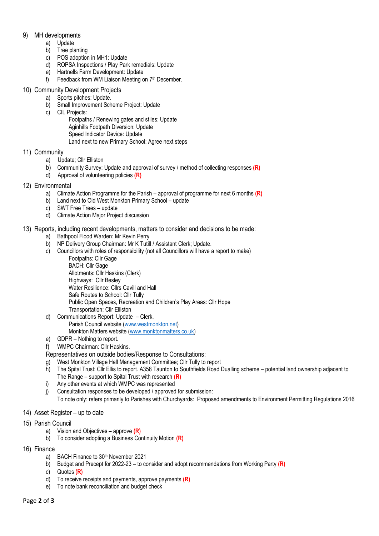## 9) MH developments

- a) Update
- b) Tree planting
- c) POS adoption in MH1: Update
- d) ROPSA Inspections / Play Park remedials: Update
- e) Hartnells Farm Development: Update
- f) Feedback from WM Liaison Meeting on 7<sup>th</sup> December.

# 10) Community Development Projects

- a) Sports pitches: Update.
	- b) Small Improvement Scheme Project: Update
	- c) CIL Projects:
		- Footpaths / Renewing gates and stiles: Update
		- Aginhills Footpath Diversion: Update
		- Speed Indicator Device: Update
		- Land next to new Primary School: Agree next steps

# 11) Community

- a) Update; Cllr Elliston
- b) Community Survey: Update and approval of survey / method of collecting responses **(R)**
- d) Approval of volunteering policies **(R)**
- 12) Environmental
	- a) Climate Action Programme for the Parish approval of programme for next 6 months **(R)**
	- b) Land next to Old West Monkton Primary School update
	- c) SWT Free Trees update
	- d) Climate Action Major Project discussion
- 13) Reports, including recent developments, matters to consider and decisions to be made:
	- a) Bathpool Flood Warden: Mr Kevin Perry
	- b) NP Delivery Group Chairman: Mr K Tutill / Assistant Clerk; Update.
	- c) Councillors with roles of responsibility (not all Councillors will have a report to make) Footpaths: Cllr Gage
		- BACH: Cllr Gage Allotments: Cllr Haskins (Clerk) Highways: Cllr Besley Water Resilience: Cllrs Cavill and Hall Safe Routes to School: Cllr Tully Public Open Spaces, Recreation and Children's Play Areas: Cllr Hope Transportation: Cllr Elliston
	- d) Communications Report: Update Clerk. Parish Council website [\(www.westmonkton.net\)](http://www.westmonkton.net/) Monkton Matters website [\(www.monktonmatters.co.uk\)](http://www.monktonmatters.co.uk/)
	- e) GDPR Nothing to report.

f) WMPC Chairman: Cllr Haskins.

- Representatives on outside bodies/Response to Consultations:
- g) West Monkton Village Hall Management Committee; Cllr Tully to report
- h) The Spital Trust: Cllr Ellis to report. A358 Taunton to Southfields Road Dualling scheme potential land ownership adjacent to The Range – support to Spital Trust with research **(R)**
- i) Any other events at which WMPC was represented
- j) Consultation responses to be developed / approved for submission: To note only: refers primarily to Parishes with Churchyards: Proposed amendments to Environment Permitting Regulations 2016
- 14) Asset Register up to date
- 15) Parish Council
	- a) Vision and Objectives approve **(R)**
	- b) To consider adopting a Business Continuity Motion **(R)**
- 16) Finance
	- a) BACH Finance to 30<sup>th</sup> November 2021
	- b) Budget and Precept for 2022-23 to consider and adopt recommendations from Working Party **(R)**
	- c) Quotes **(R)**
	- d) To receive receipts and payments, approve payments **(R)**
	- e) To note bank reconciliation and budget check